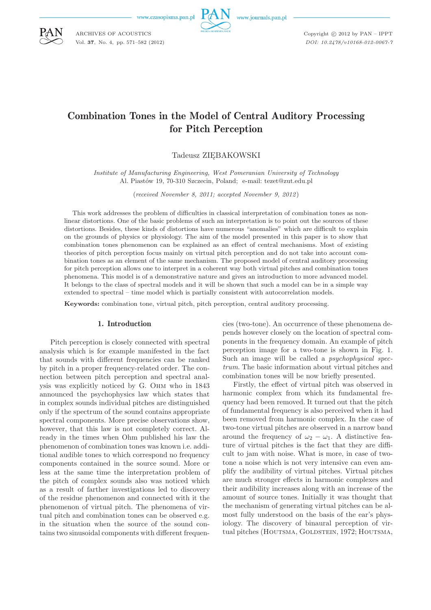

Copyright  $\odot$  2012 by PAN - IPPT *DOI: 10.2478/v10168-012-0067-7*

# Combination Tones in the Model of Central Auditory Processing for Pitch Perception

Tadeusz ZIĘBAKOWSKI

*Institute of Manufacturing Engineering, West Pomeranian University of Technology* Al. Piastów 19, 70-310 Szczecin, Poland; e-mail: tezet@zut.edu.pl

(*received November 8, 2011; accepted November 9, 2012*)

This work addresses the problem of difficulties in classical interpretation of combination tones as nonlinear distortions. One of the basic problems of such an interpretation is to point out the sources of these distortions. Besides, these kinds of distortions have numerous "anomalies" which are difficult to explain on the grounds of physics or physiology. The aim of the model presented in this paper is to show that combination tones phenomenon can be explained as an effect of central mechanisms. Most of existing theories of pitch perception focus mainly on virtual pitch perception and do not take into account combination tones as an element of the same mechanism. The proposed model of central auditory processing for pitch perception allows one to interpret in a coherent way both virtual pitches and combination tones phenomena. This model is of a demonstrative nature and gives an introduction to more advanced model. It belongs to the class of spectral models and it will be shown that such a model can be in a simple way extended to spectral – time model which is partially consistent with autocorrelation models.

**Keywords:** combination tone, virtual pitch, pitch perception, central auditory processing.

## 1. Introduction

Pitch perception is closely connected with spectral analysis which is for example manifested in the fact that sounds with different frequencies can be ranked by pitch in a proper frequency-related order. The connection between pitch perception and spectral analysis was explicitly noticed by G. Ohm who in 1843 announced the psychophysics law which states that in complex sounds individual pitches are distinguished only if the spectrum of the sound contains appropriate spectral components. More precise observations show, however, that this law is not completely correct. Already in the times when Ohm published his law the phenomenon of combination tones was known i.e. additional audible tones to which correspond no frequency components contained in the source sound. More or less at the same time the interpretation problem of the pitch of complex sounds also was noticed which as a result of farther investigations led to discovery of the residue phenomenon and connected with it the phenomenon of virtual pitch. The phenomena of virtual pitch and combination tones can be observed e.g. in the situation when the source of the sound contains two sinusoidal components with different frequencies (two-tone). An occurrence of these phenomena depends however closely on the location of spectral components in the frequency domain. An example of pitch perception image for a two-tone is shown in Fig. 1. Such an image will be called a *psychophysical spectrum*. The basic information about virtual pitches and combination tones will be now briefly presented.

Firstly, the effect of virtual pitch was observed in harmonic complex from which its fundamental frequency had been removed. It turned out that the pitch of fundamental frequency is also perceived when it had been removed from harmonic complex. In the case of two-tone virtual pitches are observed in a narrow band around the frequency of  $\omega_2 - \omega_1$ . A distinctive feature of virtual pitches is the fact that they are difficult to jam with noise. What is more, in case of twotone a noise which is not very intensive can even amplify the audibility of virtual pitches. Virtual pitches are much stronger effects in harmonic complexes and their audibility increases along with an increase of the amount of source tones. Initially it was thought that the mechanism of generating virtual pitches can be almost fully understood on the basis of the ear's physiology. The discovery of binaural perception of virtual pitches (HOUTSMA, GOLDSTEIN, 1972; HOUTSMA,



ARCHIVES OF ACOUSTICS Vol. **37**, No. 4, pp. 571–582 (2012)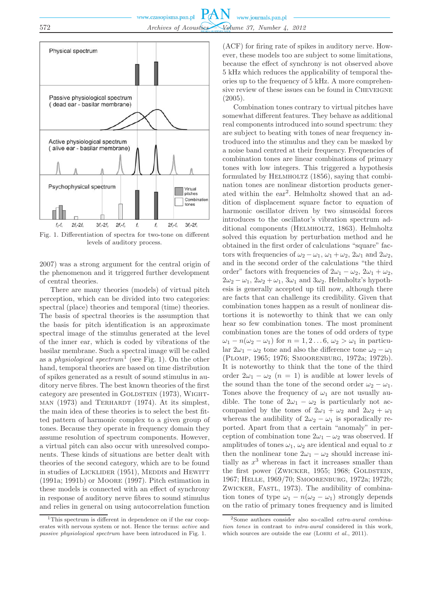

Fig. 1. Differentiation of spectra for two-tone on different levels of auditory process.

2007) was a strong argument for the central origin of the phenomenon and it triggered further development of central theories.

There are many theories (models) of virtual pitch perception, which can be divided into two categories: spectral (place) theories and temporal (time) theories. The basis of spectral theories is the assumption that the basis for pitch identification is an approximate spectral image of the stimulus generated at the level of the inner ear, which is coded by vibrations of the basilar membrane. Such a spectral image will be called as a *physiological spectrum*<sup>1</sup> (see Fig. 1). On the other hand, temporal theories are based on time distribution of spikes generated as a result of sound stimulus in auditory nerve fibres. The best known theories of the first category are presented in GOLDSTEIN (1973), WIGHT-MAN  $(1973)$  and TERHARDT  $(1974)$ . At its simplest, the main idea of these theories is to select the best fitted pattern of harmonic complex to a given group of tones. Because they operate in frequency domain they assume resolution of spectrum components. However, a virtual pitch can also occur with unresolved components. These kinds of situations are better dealt with theories of the second category, which are to be found in studies of LICKLIDER (1951), MEDDIS and HEWITT (1991a; 1991b) or Moore (1997). Pitch estimation in these models is connected with an effect of synchrony in response of auditory nerve fibres to sound stimulus and relies in general on using autocorrelation function

(ACF) for firing rate of spikes in auditory nerve. However, these models too are subject to some limitations, because the effect of synchrony is not observed above 5 kHz which reduces the applicability of temporal theories up to the frequency of 5 kHz. A more comprehensive review of these issues can be found in CHEVEIGNE (2005).

Combination tones contrary to virtual pitches have somewhat different features. They behave as additional real components introduced into sound spectrum: they are subject to beating with tones of near frequency introduced into the stimulus and they can be masked by a noise band centred at their frequency. Frequencies of combination tones are linear combinations of primary tones with low integers. This triggered a hypothesis formulated by HELMHOLTZ (1856), saying that combination tones are nonlinear distortion products generated within the ear<sup>2</sup>. Helmholtz showed that an addition of displacement square factor to equation of harmonic oscillator driven by two sinusoidal forces introduces to the oscillator's vibration spectrum additional components (Helmholtz, 1863). Helmholtz solved this equation by perturbation method and he obtained in the first order of calculations "square" factors with frequencies of  $\omega_2 - \omega_1$ ,  $\omega_1 + \omega_2$ ,  $2\omega_1$  and  $2\omega_2$ , and in the second order of the calculations "the third order" factors with frequencies of  $2\omega_1 - \omega_2$ ,  $2\omega_1 + \omega_2$ ,  $2\omega_2 - \omega_1$ ,  $2\omega_2 + \omega_1$ ,  $3\omega_1$  and  $3\omega_2$ . Helmholtz's hypothesis is generally accepted up till now, although there are facts that can challenge its credibility. Given that combination tones happen as a result of nonlinear distortions it is noteworthy to think that we can only hear so few combination tones. The most prominent combination tones are the tones of odd orders of type  $\omega_1 - n(\omega_2 - \omega_1)$  for  $n = 1, 2...6, \omega_2 > \omega_1$  in particular  $2\omega_1 - \omega_2$  tone and also the difference tone  $\omega_2 - \omega_1$ (Plomp, 1965; 1976; Smoorenburg, 1972a; 1972b). It is noteworthy to think that the tone of the third order  $2\omega_1 - \omega_2$  (n = 1) is audible at lower levels of the sound than the tone of the second order  $\omega_2 - \omega_1$ . Tones above the frequency of  $\omega_1$  are not usually audible. The tone of  $2\omega_1 - \omega_2$  is particularly not accompanied by the tones of  $2\omega_1 + \omega_2$  and  $2\omega_2 + \omega_1$ whereas the audibility of  $2\omega_2 - \omega_1$  is sporadically reported. Apart from that a certain "anomaly" in perception of combination tone  $2\omega_1 - \omega_2$  was observed. If amplitudes of tones  $\omega_1$ ,  $\omega_2$  are identical and equal to x then the nonlinear tone  $2\omega_1 - \omega_2$  should increase initially as  $x^3$  whereas in fact it increases smaller than the first power (ZWICKER, 1955; 1968; GOLDSTEIN, 1967; Helle, 1969/70; Smoorenburg, 1972a; 1972b; ZWICKER, FASTL, 1973). The audibility of combination tones of type  $\omega_1 - n(\omega_2 - \omega_1)$  strongly depends on the ratio of primary tones frequency and is limited

<sup>&</sup>lt;sup>1</sup>This spectrum is different in dependence on if the ear cooperates with nervous system or not. Hence the terms: *active* and *passive physiological spectrum* have been introduced in Fig. 1.

<sup>2</sup>Some authors consider also so-called *extra-aural combination tones* in contrast to *intra-aural* considered in this work, which sources are outside the ear (LOHRI *et al.*, 2011).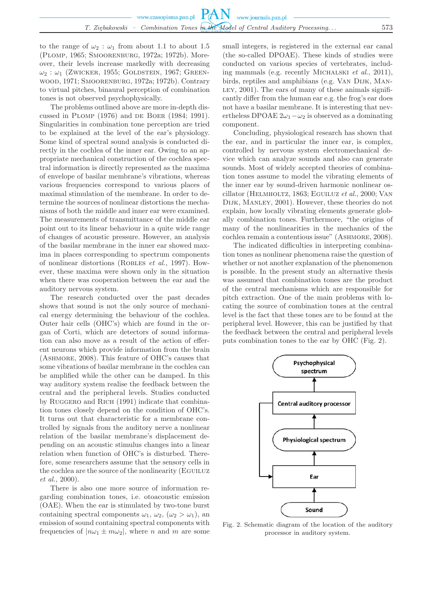to the range of  $\omega_2$ :  $\omega_1$  from about 1.1 to about 1.5 (Plomp, 1965; Smoorenburg, 1972a; 1972b). Moreover, their levels increase markedly with decreasing  $\omega_2$ :  $\omega_1$  (ZWICKER, 1955; GOLDSTEIN, 1967; GREENwood, 1971; Smoorenburg, 1972a; 1972b). Contrary to virtual pitches, binaural perception of combination tones is not observed psychophysically.

The problems outlined above are more in-depth discussed in Plomp (1976) and de Boer (1984; 1991). Singularities in combination tone perception are tried to be explained at the level of the ear's physiology. Some kind of spectral sound analysis is conducted directly in the cochlea of the inner ear. Owing to an appropriate mechanical construction of the cochlea spectral information is directly represented as the maxima of envelope of basilar membrane's vibrations, whereas various frequencies correspond to various places of maximal stimulation of the membrane. In order to determine the sources of nonlinear distortions the mechanisms of both the middle and inner ear were examined. The measurements of transmittance of the middle ear point out to its linear behaviour in a quite wide range of changes of acoustic pressure. However, an analysis of the basilar membrane in the inner ear showed maxima in places corresponding to spectrum components of nonlinear distortions (Robles *et al.*, 1997). However, these maxima were shown only in the situation when there was cooperation between the ear and the auditory nervous system.

The research conducted over the past decades shows that sound is not the only source of mechanical energy determining the behaviour of the cochlea. Outer hair cells (OHC's) which are found in the organ of Corti, which are detectors of sound information can also move as a result of the action of efferent neurons which provide information from the brain (Ashmore, 2008). This feature of OHC's causes that some vibrations of basilar membrane in the cochlea can be amplified while the other can be damped. In this way auditory system realise the feedback between the central and the peripheral levels. Studies conducted by RUGGERO and RICH (1991) indicate that combination tones closely depend on the condition of OHC's. It turns out that characteristic for a membrane controlled by signals from the auditory nerve a nonlinear relation of the basilar membrane's displacement depending on an acoustic stimulus changes into a linear relation when function of OHC's is disturbed. Therefore, some researchers assume that the sensory cells in the cochlea are the source of the nonlinearity (EGUILUZ *et al.*, 2000).

There is also one more source of information regarding combination tones, i.e. otoacoustic emission (OAE). When the ear is stimulated by two-tone burst containing spectral components  $\omega_1, \omega_2, (\omega_2 > \omega_1)$ , an emission of sound containing spectral components with frequencies of  $|n\omega_1 \pm m\omega_2|$ , where n and m are some small integers, is registered in the external ear canal (the so-called DPOAE). These kinds of studies were conducted on various species of vertebrates, including mammals (e.g. recently Michalski *et al.*, 2011), birds, reptiles and amphibians (e.g. Van Dijk, Man-LEY,  $2001$ ). The ears of many of these animals significantly differ from the human ear e.g. the frog's ear does not have a basilar membrane. It is interesting that nevertheless DPOAE  $2\omega_1-\omega_2$  is observed as a dominating component.

Concluding, physiological research has shown that the ear, and in particular the inner ear, is complex, controlled by nervous system electromechanical device which can analyze sounds and also can generate sounds. Most of widely accepted theories of combination tones assume to model the vibrating elements of the inner ear by sound-driven harmonic nonlinear oscillator (Helmholtz, 1863; Eguiluz *et al.*, 2000; Van Dijk, Manley, 2001). However, these theories do not explain, how locally vibrating elements generate globally combination tones. Furthermore, "the origins of many of the nonlinearities in the mechanics of the cochlea remain a contentious issue" (Ashmore, 2008).

The indicated difficulties in interpreting combination tones as nonlinear phenomena raise the question of whether or not another explanation of the phenomenon is possible. In the present study an alternative thesis was assumed that combination tones are the product of the central mechanisms which are responsible for pitch extraction. One of the main problems with locating the source of combination tones at the central level is the fact that these tones are to be found at the peripheral level. However, this can be justified by that the feedback between the central and peripheral levels puts combination tones to the ear by OHC (Fig. 2).



Fig. 2. Schematic diagram of the location of the auditory processor in auditory system.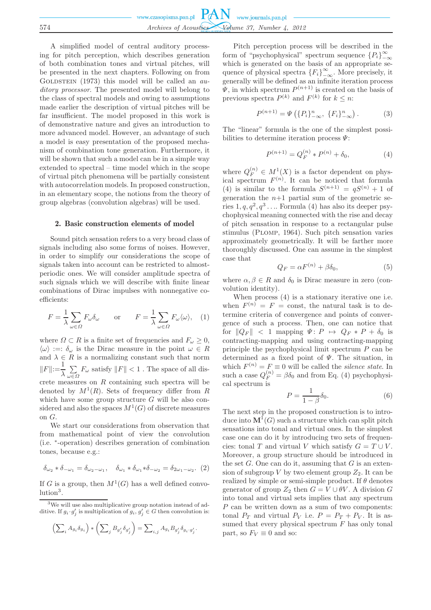|     | www.czasopisma.pan.pl $PAN$ www.journals.pan.pl |
|-----|-------------------------------------------------|
|     |                                                 |
| 574 | Archives of Acoustics Volume 37, Number 4, 2012 |

A simplified model of central auditory processing for pitch perception, which describes generation of both combination tones and virtual pitches, will be presented in the next chapters. Following on from GOLDSTEIN (1973) this model will be called an *auditory processor*. The presented model will belong to the class of spectral models and owing to assumptions made earlier the description of virtual pitches will be far insufficient. The model proposed in this work is of demonstrative nature and gives an introduction to more advanced model. However, an advantage of such a model is easy presentation of the proposed mechanism of combination tone generation. Furthermore, it will be shown that such a model can be in a simple way extended to spectral – time model which in the scope of virtual pitch phenomena will be partially consistent with autocorrelation models. In proposed construction, in an elementary scope, the notions from the theory of group algebras (convolution algebras) will be used.

#### 2. Basic construction elements of model

Sound pitch sensation refers to a very broad class of signals including also some forms of noises. However, in order to simplify our considerations the scope of signals taken into account can be restricted to almostperiodic ones. We will consider amplitude spectra of such signals which we will describe with finite linear combinations of Dirac impulses with nonnegative coefficients:

$$
F = \frac{1}{\lambda} \sum_{\omega \in \Omega} F_{\omega} \delta_{\omega} \quad \text{or} \quad F = \frac{1}{\lambda} \sum_{\omega \in \Omega} F_{\omega} \langle \omega \rangle, \quad (1)
$$

where  $\Omega \subset R$  is a finite set of frequencies and  $F_{\omega} \geq 0$ ,  $\langle \omega \rangle :=: \delta_{\omega}$  is the Dirac measure in the point  $\omega \in R$ and  $\lambda \in R$  is a normalizing constant such that norm  $||F||:=\frac{1}{\lambda}$ λ  $\sum$  $\sum_{\omega \in \Omega} F_{\omega}$  satisfy  $||F|| < 1$ . The space of all discrete measures on R containing such spectra will be denoted by  $M^1(R)$ . Sets of frequency differ from R which have some group structure  $G$  will be also considered and also the spaces  $M^1(G)$  of discrete measures on G.

We start our considerations from observation that from mathematical point of view the convolution (i.e. <sup>∗</sup> -operation) describes generation of combination tones, because e.g.:

$$
\delta_{\omega_2} * \delta_{-\omega_1} = \delta_{\omega_2 - \omega_1}, \quad \delta_{\omega_1} * \delta_{\omega_1} * \delta_{-\omega_2} = \delta_{2\omega_1 - \omega_2}. \tag{2}
$$

If G is a group, then  $M^1(G)$  has a well defined convolution<sup>3</sup>.

$$
\left(\sum\nolimits_iA_{g_i}\delta_{g_i}\right)\ast\left(\sum\nolimits_jB_{g'_j}\delta_{g'_j}\right)=\sum\nolimits_{i,j}A_{g_i}B_{g'_j}\delta_{g_i\cdot g'_j}.
$$

Pitch perception process will be described in the form of "psychophysical" spectrum sequence  ${P_i}_{C}^{\infty}$  $-\infty$ which is generated on the basis of an appropriate sequence of physical spectra  ${F_i}_{\infty}^{\infty}$ . More precisely, it generally will be defined as an infinite iteration process  $\Psi$ , in which spectrum  $P^{(n+1)}$  is created on the basis of previous spectra  $P^{(k)}$  and  $F^{(k)}$  for  $k \leq n$ :

$$
P^{(n+1)} = \Psi\left(\{P_i\}_{-\infty}^n, \{F_i\}_{-\infty}^n\right). \tag{3}
$$

The "linear" formula is the one of the simplest possibilities to determine iteration process  $\Psi$ :

$$
P^{(n+1)} = Q_F^{(n)} * P^{(n)} + \delta_0,
$$
\n(4)

where  $Q_F^{(n)} \in M^1(X)$  is a factor dependent on physical spectrum  $F^{(n)}$ . It can be noticed that formula (4) is similar to the formula  $S^{(n+1)} = qS^{(n)} + 1$  of generation the  $n+1$  partial sum of the geometric series  $1, q, q^2, q^3 \ldots$  Formula (4) has also its deeper psychophysical meaning connected with the rise and decay of pitch sensation in response to a rectangular pulse stimulus (Plomp, 1964). Such pitch sensation varies approximately geometrically. It will be farther more thoroughly discussed. One can assume in the simplest case that

$$
Q_F = \alpha F^{(n)} + \beta \delta_0,\tag{5}
$$

where  $\alpha, \beta \in R$  and  $\delta_0$  is Dirac measure in zero (convolution identity).

When process (4) is a stationary iterative one i.e. when  $F^{(n)} = F = \text{const}$ , the natural task is to determine criteria of convergence and points of convergence of such a process. Then, one can notice that for  $||Q_F|| < 1$  mapping  $\Psi: P \mapsto Q_F * P + \delta_0$  is contracting-mapping and using contracting-mapping principle the psychophysical limit spectrum P can be determined as a fixed point of  $\Psi$ . The situation, in which  $F^{(n)} = F \equiv 0$  will be called the *silence state*. In such a case  $Q_F^{(n)} = \beta \delta_0$  and from Eq. (4) psychophysical spectrum is

$$
P = \frac{1}{1 - \beta} \delta_0. \tag{6}
$$

The next step in the proposed construction is to introduce into  $M^1(G)$  such a structure which can split pitch sensations into tonal and virtual ones. In the simplest case one can do it by introducing two sets of frequencies: tonal T and virtual V which satisfy  $G = T \cup V$ . Moreover, a group structure should be introduced in the set  $G$ . One can do it, assuming that  $G$  is an extension of subgroup  $V$  by two element group  $Z_2$ . It can be realized by simple or semi-simple product. If  $\theta$  denotes generator of group  $Z_2$  then  $G = V \cup \theta V$ . A division G into tonal and virtual sets implies that any spectrum P can be written down as a sum of two components: tonal  $P_T$  and virtual  $P_V$  i.e.  $P = P_T + P_V$ . It is assumed that every physical spectrum  $F$  has only tonal part, so  $F_V \equiv 0$  and so:

<sup>3</sup>We will use also multiplicative group notation instead of additive. If  $g_i \cdot g'_j$  is multiplication of  $g_i, g'_j \in G$  then convolution is: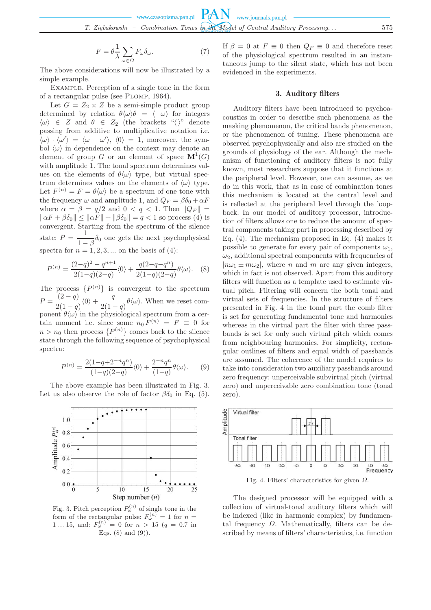$$
F = \theta \frac{1}{\lambda} \sum_{\omega \in \Omega} F_{\omega} \delta_{\omega}.
$$
 (7)

The above considerations will now be illustrated by a simple example.

Example. Perception of a single tone in the form of a rectangular pulse (see Plomp, 1964).

Let  $G = Z_2 \times Z$  be a semi-simple product group determined by relation  $\theta \langle \omega \rangle \theta = \langle -\omega \rangle$  for integers  $\langle \omega \rangle \in Z$  and  $\theta \in Z_2$  (the brackets " $\langle \rangle$ " denote passing from additive to multiplicative notation i.e.  $\langle \omega \rangle \cdot \langle \omega' \rangle = \langle \omega + \omega' \rangle$ ,  $\langle 0 \rangle = 1$ , moreover, the symbol  $\langle \omega \rangle$  in dependence on the context may denote an element of group  $G$  or an element of space  $\mathbf{M}^1(G)$ with amplitude 1. The tonal spectrum determines values on the elements of  $\theta \langle \omega \rangle$  type, but virtual spectrum determines values on the elements of  $\langle \omega \rangle$  type. Let  $F^{(n)} = F = \theta \langle \omega \rangle$  be a spectrum of one tone with the frequency  $\omega$  and amplitude 1, and  $Q_F = \beta \delta_0 + \alpha F$ where  $\alpha = \beta = q/2$  and  $0 < q < 1$ . Then  $||Q_F|| =$  $\|\alpha F + \beta \delta_0\| \le \|\alpha F\| + \|\beta \delta_0\| = q < 1$  so process (4) is convergent. Starting from the spectrum of the silence state:  $P=\frac{1}{1}$  $\frac{1}{1-\beta}\delta_0$  one gets the next psychophysical spectra for  $n = 1, 2, 3, \dots$  on the basis of (4):

$$
P^{(n)} = \frac{(2-q)^2 - q^{n+1}}{2(1-q)(2-q)} \langle 0 \rangle + \frac{q(2-q-q^n)}{2(1-q)(2-q)} \theta \langle \omega \rangle. \tag{8}
$$

The process  $\{P^{(n)}\}$  is convergent to the spectrum  $P = \frac{(2-q)}{2(1-q)}$  $\frac{(2-q)}{2(1-q)}\langle 0 \rangle + \frac{q}{2(1-q)}$  $\frac{q}{2(1-q)}\theta\langle\omega\rangle$ . When we reset component  $\theta \langle \omega \rangle$  in the physiological spectrum from a certain moment i.e. since some  $n_0 F^{(n)} = F \equiv 0$  for  $n > n_0$  then process  $\{P^{(n)}\}$  comes back to the silence state through the following sequence of psychophysical spectra:

$$
P^{(n)} = \frac{2(1-q+2^{-n}q^n)}{(1-q)(2-q)}\langle 0 \rangle + \frac{2^{-n}q^n}{(1-q)}\theta \langle \omega \rangle.
$$
 (9)

The above example has been illustrated in Fig. 3. Let us also observe the role of factor  $\beta \delta_0$  in Eq. (5).



Fig. 3. Pitch perception  $P_{\omega}^{(n)}$  of single tone in the form of the rectangular pulse:  $F_{\omega}^{(n)} = 1$  for  $n =$ 1...15, and:  $F_{\omega}^{(n)} = 0$  for  $n > 15$  ( $q = 0.7$  in Eqs.  $(8)$  and  $(9)$ ).

If  $\beta = 0$  at  $F \equiv 0$  then  $Q_F \equiv 0$  and therefore reset of the physiological spectrum resulted in an instantaneous jump to the silent state, which has not been evidenced in the experiments.

## 3. Auditory filters

Auditory filters have been introduced to psychoacoustics in order to describe such phenomena as the masking phenomenon, the critical bands phenomenon, or the phenomenon of tuning. These phenomena are observed psychophysically and also are studied on the grounds of physiology of the ear. Although the mechanism of functioning of auditory filters is not fully known, most researchers suppose that it functions at the peripheral level. However, one can assume, as we do in this work, that as in case of combination tones this mechanism is located at the central level and is reflected at the peripheral level through the loopback. In our model of auditory processor, introduction of filters allows one to reduce the amount of spectral components taking part in processing described by Eq. (4). The mechanism proposed in Eq. (4) makes it possible to generate for every pair of components  $\omega_1$ ,  $\omega_2$ , additional spectral components with frequencies of  $|n\omega_1 \pm m\omega_2|$ , where n and m are any given integers, which in fact is not observed. Apart from this auditory filters will function as a template used to estimate virtual pitch. Filtering will concern the both tonal and virtual sets of frequencies. In the structure of filters presented in Fig. 4 in the tonal part the comb filter is set for generating fundamental tone and harmonics whereas in the virtual part the filter with three passbands is set for only such virtual pitch which comes from neighbouring harmonics. For simplicity, rectangular outlines of filters and equal width of passbands are assumed. The coherence of the model requires to take into consideration two auxiliary passbands around zero frequency: unperceivable subvirtual pitch (virtual zero) and unperceivable zero combination tone (tonal zero).



The designed processor will be equipped with a collection of virtual-tonal auditory filters which will be indexed (like in harmonic complex) by fundamental frequency  $\Omega$ . Mathematically, filters can be described by means of filters' characteristics, i.e. function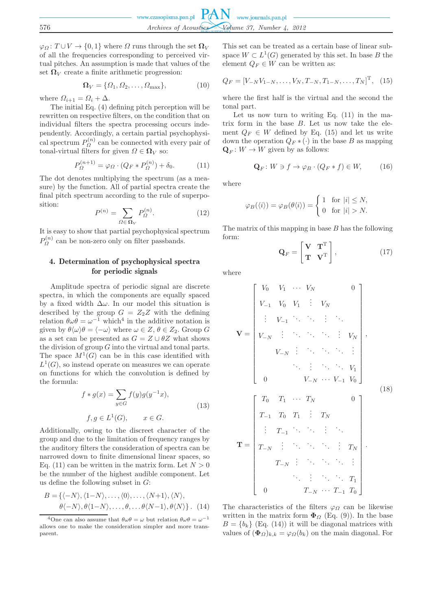$\varphi_{\Omega} \colon T \cup V \to \{0, 1\}$  where  $\Omega$  runs through the set  $\Omega_V$ of all the frequencies corresponding to perceived virtual pitches. An assumption is made that values of the set  $\Omega_V$  create a finite arithmetic progression:

$$
\mathbf{\Omega}_V = \{ \Omega_1, \Omega_2, \dots, \Omega_{\text{max}} \},\tag{10}
$$

where  $\Omega_{i+1} = \Omega_i + \Delta$ .

The initial Eq. (4) defining pitch perception will be rewritten on respective filters, on the condition that on individual filters the spectra processing occurs independently. Accordingly, a certain partial psychophysical spectrum  $P_{\Omega}^{(n)}$  can be connected with every pair of tonal-virtual filters for given  $\Omega \in \Omega_V$  so:

$$
P_{\Omega}^{(n+1)} = \varphi_{\Omega} \cdot (Q_F * P_{\Omega}^{(n)}) + \delta_0.
$$
 (11)

The dot denotes multiplying the spectrum (as a measure) by the function. All of partial spectra create the final pitch spectrum according to the rule of superposition:

$$
P^{(n)} = \sum_{\Omega \in \Omega_V} P_{\Omega}^{(n)}.
$$
 (12)

It is easy to show that partial psychophysical spectrum  $P_{\Omega}^{(n)}$  can be non-zero only on filter passbands.

## 4. Determination of psychophysical spectra for periodic signals

Amplitude spectra of periodic signal are discrete spectra, in which the components are equally spaced by a fixed width  $\Delta\omega$ . In our model this situation is described by the group  $G = Z_2 Z$  with the defining relation  $\theta \omega \theta = \omega^{-1}$  which<sup>4</sup> in the additive notation is given by  $\theta \langle \omega \rangle \theta = \langle -\omega \rangle$  where  $\omega \in Z$ ,  $\theta \in Z_2$ . Group G as a set can be presented as  $G = Z \cup \theta Z$  what shows the division of group  $G$  into the virtual and tonal parts. The space  $M^1(G)$  can be in this case identified with  $L^1(G)$ , so instead operate on measures we can operate on functions for which the convolution is defined by the formula:

$$
f * g(x) = \sum_{y \in G} f(y)g(y^{-1}x),
$$
  

$$
f, g \in L^{1}(G), \qquad x \in G.
$$
 (13)

Additionally, owing to the discreet character of the group and due to the limitation of frequency ranges by the auditory filters the consideration of spectra can be narrowed down to finite dimensional linear spaces, so Eq. (11) can be written in the matrix form. Let  $N > 0$ be the number of the highest audible component. Let us define the following subset in  $G$ :

$$
B = \{ \langle -N \rangle, \langle 1 - N \rangle, \dots, \langle 0 \rangle, \dots, \langle N+1 \rangle, \langle N \rangle, \n\theta \langle -N \rangle, \theta \langle 1 - N \rangle, \dots, \theta, \dots \theta \langle N-1 \rangle, \theta \langle N \rangle \}.
$$
(14)

This set can be treated as a certain base of linear subspace  $W \subset L^1(G)$  generated by this set. In base B the element  $Q_F \in W$  can be written as:

$$
Q_F = [V_{-N}V_{1-N}, \dots, V_N, T_{-N}, T_{1-N}, \dots, T_N]^{\mathrm{T}}, \quad (15)
$$

where the first half is the virtual and the second the tonal part.

Let us now turn to writing Eq.  $(11)$  in the matrix form in the base  $B$ . Let us now take the element  $Q_F \in W$  defined by Eq. (15) and let us write down the operation  $Q_F * (\cdot)$  in the base B as mapping  $\mathbf{Q}_F : W \to W$  given by as follows:

$$
\mathbf{Q}_F \colon W \ni f \to \varphi_B \cdot (Q_F * f) \in W,\tag{16}
$$

where

$$
\varphi_B(\langle i \rangle) = \varphi_B(\theta \langle i \rangle) = \begin{cases} 1 & \text{for } |i| \le N, \\ 0 & \text{for } |i| > N. \end{cases}
$$

The matrix of this mapping in base B has the following form:

$$
\mathbf{Q}_F = \begin{bmatrix} \mathbf{V} & \mathbf{T}^{\mathrm{T}} \\ \mathbf{T} & \mathbf{V}^{\mathrm{T}} \end{bmatrix},\tag{17}
$$

where

$$
\mathbf{V} = \begin{bmatrix}\nV_0 & V_1 & \cdots & V_N & & 0 \\
V_{-1} & V_0 & V_1 & \vdots & V_N & \\
\vdots & V_{-1} & \ddots & \ddots & \vdots & \ddots \\
V_{-N} & \vdots & \ddots & \ddots & \ddots & \vdots \\
& V_{-N} & \vdots & \ddots & \ddots & \ddots & \vdots \\
& & & & & & \ddots \\
0 & & & & & & & V_{-N} \\
0 & & & & & & & & V_{-1} \\
\end{bmatrix},
$$
\n(18)\n
$$
\begin{bmatrix}\nT_0 & T_1 & \cdots & T_N & & 0 \\
T_{-1} & T_0 & T_1 & \vdots & T_N & \\
\vdots & T_{-1} & \ddots & \ddots & \vdots & \ddots \\
T_{-N} & \vdots & \ddots & \ddots & \ddots & \vdots \\
T_{-N} & \vdots & \ddots & \ddots & \ddots & \vdots \\
\vdots & \ddots & \vdots & \ddots & \ddots & \ddots \\
T_{-N} & \vdots & \ddots & \ddots & \ddots & \vdots \\
\vdots & \ddots & \ddots & \ddots & \ddots & \vdots \\
0 & & & & & & & V_{-1} \\
1 & & & & & & & V_{-1}\n\end{bmatrix}.
$$

The characteristics of the filters  $\varphi_{\Omega}$  can be likewise written in the matrix form  $\Phi_{\Omega}$  (Eq. (9)). In the base  $B = \{b_k\}$  (Eq. (14)) it will be diagonal matrices with values of  $(\Phi_{\Omega})_{k,k} = \varphi_{\Omega}(b_k)$  on the main diagonal. For

<sup>&</sup>lt;sup>4</sup>One can also assume that  $\theta \omega \theta = \omega$  but relation  $\theta \omega \theta = \omega^{-1}$ allows one to make the consideration simpler and more transparent.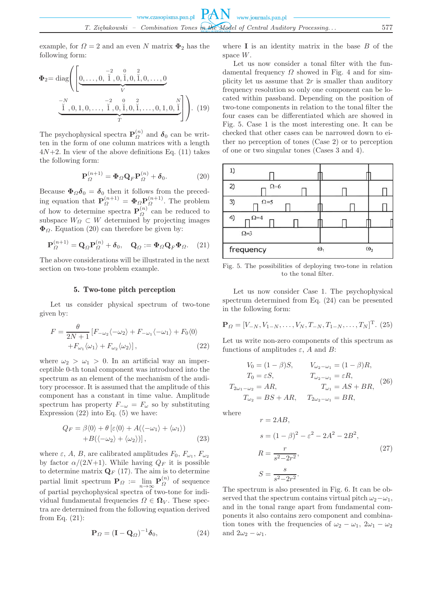example, for  $\Omega = 2$  and an even N matrix  $\Phi_2$  has the following form:

$$
\Phi_2 = \text{diag}\left( \left[ \underbrace{0, \dots, 0, \stackrel{-2}{1}, 0, \stackrel{0}{1}, 0, \stackrel{2}{1}, 0, \dots, 0}_{V} \right]^{2} \underbrace{\qquad \qquad }_{T} \right) \left( \underbrace{0, \dots, 0, \stackrel{-2}{1}, 0, \stackrel{0}{1}, 0, \stackrel{2}{1}, 0, \stackrel{2}{1}, \dots, 0, 1, 0, \stackrel{N}{1}}_{T} \right) \right). \tag{19}
$$

The psychophysical spectra  $P_{\Omega}^{(n)}$  and  $\delta_0$  can be written in the form of one column matrices with a length  $4N+2$ . In view of the above definitions Eq. (11) takes the following form:

$$
\mathbf{P}_{\Omega}^{(n+1)} = \mathbf{\Phi}_{\Omega} \mathbf{Q}_{F} \mathbf{P}_{\Omega}^{(n)} + \mathbf{\delta}_{0}.
$$
 (20)

Because  $\Phi_{\Omega}\delta_0 = \delta_0$  then it follows from the preceding equation that  $\mathbf{P}_{\Omega}^{(n+1)} = \mathbf{\Phi}_{\Omega} \mathbf{P}_{\Omega}^{(n+1)}$ . The problem of how to determine spectra  $P_{\Omega}^{(n)}$  can be reduced to subspace  $W_{\Omega} \subset W$  determined by projecting images  $\Phi_{\Omega}$ . Equation (20) can therefore be given by:

$$
\mathbf{P}_{\Omega}^{(n+1)} = \mathbf{Q}_{\Omega} \mathbf{P}_{\Omega}^{(n)} + \delta_0, \quad \mathbf{Q}_{\Omega} := \mathbf{\Phi}_{\Omega} \mathbf{Q}_{F} \mathbf{\Phi}_{\Omega}. \quad (21)
$$

The above considerations will be illustrated in the next section on two-tone problem example.

### 5. Two-tone pitch perception

Let us consider physical spectrum of two-tone given by:

$$
F = \frac{\theta}{2N+1} \left[ F_{-\omega_2} \langle -\omega_2 \rangle + F_{-\omega_1} \langle -\omega_1 \rangle + F_0 \langle 0 \rangle \right. \left. + F_{\omega_1} \langle \omega_1 \rangle + F_{\omega_2} \langle \omega_2 \rangle \right],
$$
\n(22)

where  $\omega_2 > \omega_1 > 0$ . In an artificial way an imperceptible 0-th tonal component was introduced into the spectrum as an element of the mechanism of the auditory processor. It is assumed that the amplitude of this component has a constant in time value. Amplitude spectrum has property  $F_{-\omega} = F_{\omega}$  so by substituting Expression  $(22)$  into Eq.  $(5)$  we have:

$$
Q_F = \beta \langle 0 \rangle + \theta \left[ \varepsilon \langle 0 \rangle + A(\langle -\omega_1 \rangle + \langle \omega_1 \rangle) + B(\langle -\omega_2 \rangle + \langle \omega_2 \rangle) \right],
$$
\n(23)

where  $\varepsilon$ , A, B, are calibrated amplitudes  $F_0, F_{\omega_1}, F_{\omega_2}$ by factor  $\alpha/(2N+1)$ . While having  $Q_F$  it is possible to determine matrix  $\mathbf{Q}_F$  (17). The aim is to determine partial limit spectrum  $\mathbf{P}_{\Omega} := \lim_{n \to \infty} \mathbf{P}_{\Omega}^{(n)}$  of sequence of partial psychophysical spectra of two-tone for individual fundamental frequencies  $\Omega \in \Omega_V$ . These spectra are determined from the following equation derived from Eq. (21):

$$
\mathbf{P}_{\Omega} = (\mathbf{I} - \mathbf{Q}_{\Omega})^{-1} \boldsymbol{\delta}_0, \tag{24}
$$

where **I** is an identity matrix in the base B of the space W.

Let us now consider a tonal filter with the fundamental frequency  $\Omega$  showed in Fig. 4 and for simplicity let us assume that  $2r$  is smaller than auditory frequency resolution so only one component can be located within passband. Depending on the position of two-tone components in relation to the tonal filter the four cases can be differentiated which are showed in Fig. 5. Case 1 is the most interesting one. It can be checked that other cases can be narrowed down to either no perception of tones (Case 2) or to perception of one or two singular tones (Cases 3 and 4).



Fig. 5. The possibilities of deploying two-tone in relation to the tonal filter.

Let us now consider Case 1. The psychophysical spectrum determined from Eq. (24) can be presented in the following form:

$$
\mathbf{P}_{\Omega} = [V_{-N}, V_{1-N}, \dots, V_N, T_{-N}, T_{1-N}, \dots, T_N]^{\mathrm{T}}.
$$
 (25)

Let us write non-zero components of this spectrum as functions of amplitudes  $\varepsilon$ , A and B:

$$
V_0 = (1 - \beta)S, \t V_{\omega_2 - \omega_1} = (1 - \beta)R,
$$
  
\n
$$
T_0 = \varepsilon S, \t T_{\omega_2 - \omega_1} = \varepsilon R,
$$
  
\n
$$
T_{2\omega_1 - \omega_2} = AR, \t T_{\omega_1} = AS + BR, \t (26)
$$
  
\n
$$
T_{\omega_2} = BS + AR, \t T_{2\omega_2 - \omega_1} = BR,
$$
  
\n(27)

where

$$
r = 2AB,
$$
  
\n
$$
s = (1 - \beta)^2 - \varepsilon^2 - 2A^2 - 2B^2,
$$
  
\n
$$
R = \frac{r}{s^2 - 2r^2},
$$
  
\n
$$
S = \frac{s}{s^2 - 2r^2}.
$$
\n(27)

The spectrum is also presented in Fig. 6. It can be observed that the spectrum contains virtual pitch  $\omega_2-\omega_1$ , and in the tonal range apart from fundamental components it also contains zero component and combination tones with the frequencies of  $\omega_2 - \omega_1$ ,  $2\omega_1 - \omega_2$ and  $2\omega_2 - \omega_1$ .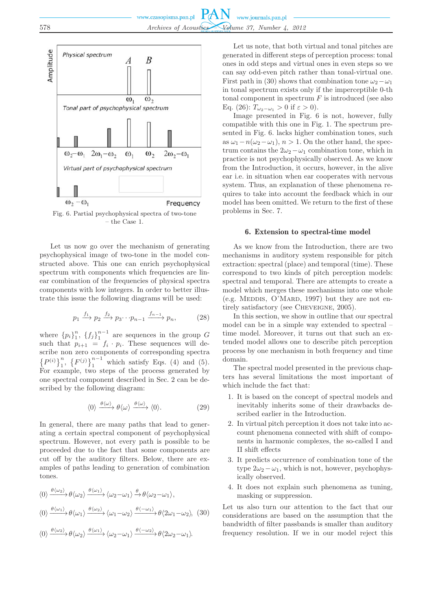

Fig. 6. Partial psychophysical spectra of two-tone – the Case 1.

Let us now go over the mechanism of generating psychophysical image of two-tone in the model constructed above. This one can enrich psychophysical spectrum with components which frequencies are linear combination of the frequencies of physical spectra components with low integers. In order to better illustrate this issue the following diagrams will be used:

$$
p_1 \xrightarrow{f_1} p_2 \xrightarrow{f_2} p_3 \cdots p_{n-1} \xrightarrow{f_{n-1}} p_n, \tag{28}
$$

where  ${p_i}_1^n, {f_j}_1^{n-1}$  $n-1$  are sequences in the group G such that  $p_{i+1} = f_i \cdot p_i$ . These sequences will describe non zero components of corresponding spectra  $\{P^{(i)}\}_1^n$ ,  $\{F^{(j)}\}_1^{n-1}$  which satisfy Eqs. (4) and (5). For example, two steps of the process generated by one spectral component described in Sec. 2 can be described by the following diagram:

$$
\langle 0 \rangle \xrightarrow{\theta \langle \omega \rangle} \theta \langle \omega \rangle \xrightarrow{\theta \langle \omega \rangle} \langle 0 \rangle. \tag{29}
$$

In general, there are many paths that lead to generating a certain spectral component of psychophysical spectrum. However, not every path is possible to be proceeded due to the fact that some components are cut off by the auditory filters. Below, there are examples of paths leading to generation of combination tones.

$$
\langle 0 \rangle \xrightarrow{\theta \langle \omega_2 \rangle} \theta \langle \omega_2 \rangle \xrightarrow{\theta \langle \omega_1 \rangle} \langle \omega_2 - \omega_1 \rangle \xrightarrow{\theta} \theta \langle \omega_2 - \omega_1 \rangle,
$$
  

$$
\langle 0 \rangle \xrightarrow{\theta \langle \omega_1 \rangle} \theta \langle \omega_1 \rangle \xrightarrow{\theta \langle \omega_2 \rangle} \langle \omega_1 - \omega_2 \rangle \xrightarrow{\theta \langle -\omega_1 \rangle} \theta \langle 2\omega_1 - \omega_2 \rangle, \quad (30)
$$

$$
\langle 0 \rangle \xrightarrow{\theta \langle \omega_2 \rangle} \theta \langle \omega_2 \rangle \xrightarrow{\theta \langle \omega_1 \rangle} \langle \omega_2 - \omega_1 \rangle \xrightarrow{\theta \langle -\omega_2 \rangle} \theta \langle 2\omega_2 - \omega_1 \rangle.
$$

Let us note, that both virtual and tonal pitches are generated in different steps of perception process: tonal ones in odd steps and virtual ones in even steps so we can say odd-even pitch rather than tonal-virtual one. First path in (30) shows that combination tone  $\omega_2-\omega_1$ in tonal spectrum exists only if the imperceptible 0-th tonal component in spectrum  $F$  is introduced (see also Eq. (26):  $T_{\omega_2-\omega_1} > 0$  if  $\varepsilon > 0$ ).

Image presented in Fig. 6 is not, however, fully compatible with this one in Fig. 1. The spectrum presented in Fig. 6. lacks higher combination tones, such as  $\omega_1 - n(\omega_2 - \omega_1)$ ,  $n > 1$ . On the other hand, the spectrum contains the  $2\omega_2-\omega_1$  combination tone, which in practice is not psychophysically observed. As we know from the Introduction, it occurs, however, in the alive ear i.e. in situation when ear cooperates with nervous system. Thus, an explanation of these phenomena requires to take into account the feedback which in our model has been omitted. We return to the first of these problems in Sec. 7.

#### 6. Extension to spectral-time model

As we know from the Introduction, there are two mechanisms in auditory system responsible for pitch extraction: spectral (place) and temporal (time). These correspond to two kinds of pitch perception models: spectral and temporal. There are attempts to create a model which merges these mechanisms into one whole  $(e.g. \tMEDDIS, O'MARD, 1997)$  but they are not entirely satisfactory (see CHEVEIGNE, 2005).

In this section, we show in outline that our spectral model can be in a simple way extended to spectral – time model. Moreover, it turns out that such an extended model allows one to describe pitch perception process by one mechanism in both frequency and time domain.

The spectral model presented in the previous chapters has several limitations the most important of which include the fact that:

- 1. It is based on the concept of spectral models and inevitably inherits some of their drawbacks described earlier in the Introduction.
- 2. In virtual pitch perception it does not take into account phenomena connected with shift of components in harmonic complexes, the so-called I and II shift effects
- 3. It predicts occurrence of combination tone of the type  $2\omega_2 - \omega_1$ , which is not, however, psychophysically observed.
- 4. It does not explain such phenomena as tuning, masking or suppression.

Let us also turn our attention to the fact that our considerations are based on the assumption that the bandwidth of filter passbands is smaller than auditory frequency resolution. If we in our model reject this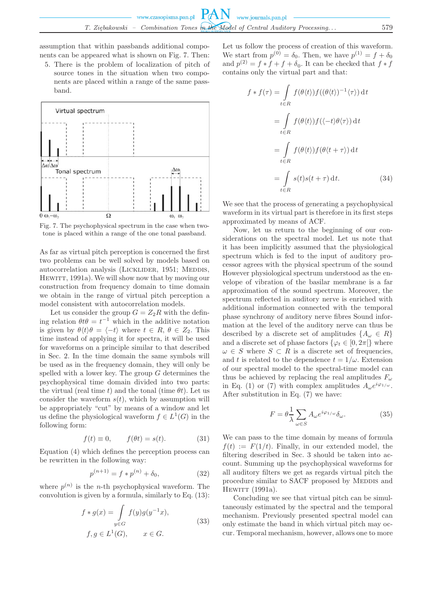assumption that within passbands additional components can be appeared what is shown on Fig. 7. Then:

5. There is the problem of localization of pitch of source tones in the situation when two components are placed within a range of the same passband.



Fig. 7. The psychophysical spectrum in the case when twotone is placed within a range of the one tonal passband.

As far as virtual pitch perception is concerned the first two problems can be well solved by models based on autocorrelation analysis (LICKLIDER, 1951; MEDDIS, HEWITT, 1991a). We will show now that by moving our construction from frequency domain to time domain we obtain in the range of virtual pitch perception a model consistent with autocorrelation models.

Let us consider the group  $G = Z_2R$  with the defining relation  $\theta t \theta = t^{-1}$  which in the additive notation is given by  $\theta \langle t \rangle \theta = \langle -t \rangle$  where  $t \in R$ ,  $\theta \in Z_2$ . This time instead of applying it for spectra, it will be used for waveforms on a principle similar to that described in Sec. 2. In the time domain the same symbols will be used as in the frequency domain, they will only be spelled with a lower key. The group  $G$  determines the psychophysical time domain divided into two parts: the virtual (real time t) and the tonal (time  $\theta t$ ). Let us consider the waveform  $s(t)$ , which by assumption will be appropriately "cut" by means of a window and let us define the physiological waveform  $f \in L^1(G)$  in the following form:

$$
f(t) \equiv 0, \qquad f(\theta t) = s(t). \tag{31}
$$

Equation (4) which defines the perception process can be rewritten in the following way:

$$
p^{(n+1)} = f * p^{(n)} + \delta_0,
$$
 (32)

where  $p^{(n)}$  is the *n*-th psychophysical waveform. The convolution is given by a formula, similarly to Eq. (13):

$$
f * g(x) = \int_{y \in G} f(y)g(y^{-1}x),
$$
  

$$
f, g \in L^{1}(G), \qquad x \in G.
$$
 (33)

Let us follow the process of creation of this waveform. We start from  $p^{(0)} = \delta_0$ . Then, we have  $p^{(1)} = f + \delta_0$ and  $p^{(2)} = f * f + f + \delta_0$ . It can be checked that  $f * f$ contains only the virtual part and that:

$$
f * f(\tau) = \int_{t \in R} f(\theta \langle t \rangle) f((\theta \langle t \rangle)^{-1} \langle \tau \rangle) dt
$$
  

$$
= \int_{t \in R} f(\theta \langle t \rangle) f(\langle -t \rangle \theta \langle \tau \rangle) dt
$$
  

$$
= \int_{t \in R} f(\theta \langle t \rangle) f(\theta \langle t + \tau \rangle) dt
$$
  

$$
= \int_{t \in R} s(t) s(t + \tau) dt.
$$
 (34)

We see that the process of generating a psychophysical waveform in its virtual part is therefore in its first steps approximated by means of ACF.

Now, let us return to the beginning of our considerations on the spectral model. Let us note that it has been implicitly assumed that the physiological spectrum which is fed to the input of auditory processor agrees with the physical spectrum of the sound However physiological spectrum understood as the envelope of vibration of the basilar membrane is a far approximation of the sound spectrum. Moreover, the spectrum reflected in auditory nerve is enriched with additional information connected with the temporal phase synchrony of auditory nerve fibres Sound information at the level of the auditory nerve can thus be described by a discrete set of amplitudes  $\{A_\omega \in R\}$ and a discrete set of phase factors  $\{\varphi_t \in [0, 2\pi]\}\$  where  $\omega \in S$  where  $S \subset R$  is a discrete set of frequencies, and t is related to the dependence  $t = 1/\omega$ . Extension of our spectral model to the spectral-time model can thus be achieved by replacing the real amplitudes  $F_{\omega}$ in Eq. (1) or (7) with complex amplitudes  $A_{\omega}e^{i\varphi_{1/\omega}}$ . After substitution in Eq. (7) we have:

$$
F = \theta \frac{1}{\lambda} \sum_{\omega \in S} A_{\omega} e^{i\varphi_{1/\omega}} \delta_{\omega}.
$$
 (35)

We can pass to the time domain by means of formula  $f(t) := F(1/t)$ . Finally, in our extended model, the filtering described in Sec. 3 should be taken into account. Summing up the psychophysical waveforms for all auditory filters we get as regards virtual pitch the procedure similar to SACF proposed by MEDDIS and HEWITT  $(1991a)$ .

Concluding we see that virtual pitch can be simultaneously estimated by the spectral and the temporal mechanism. Previously presented spectral model can only estimate the band in which virtual pitch may occur. Temporal mechanism, however, allows one to more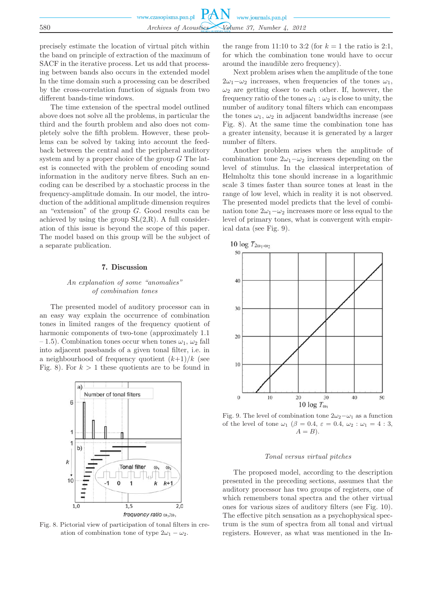precisely estimate the location of virtual pitch within the band on principle of extraction of the maximum of SACF in the iterative process. Let us add that processing between bands also occurs in the extended model In the time domain such a processing can be described by the cross-correlation function of signals from two different bands-time windows.

The time extension of the spectral model outlined above does not solve all the problems, in particular the third and the fourth problem and also does not completely solve the fifth problem. However, these problems can be solved by taking into account the feedback between the central and the peripheral auditory system and by a proper choice of the group G The latest is connected with the problem of encoding sound information in the auditory nerve fibres. Such an encoding can be described by a stochastic process in the frequency-amplitude domain. In our model, the introduction of the additional amplitude dimension requires an "extension" of the group G. Good results can be achieved by using the group  $SL(2,R)$ . A full consideration of this issue is beyond the scope of this paper. The model based on this group will be the subject of a separate publication.

## 7. Discussion

## *An explanation of some "anomalies" of combination tones*

The presented model of auditory processor can in an easy way explain the occurrence of combination tones in limited ranges of the frequency quotient of harmonic components of two-tone (approximately 1.1 – 1.5). Combination tones occur when tones  $\omega_1, \omega_2$  fall into adjacent passbands of a given tonal filter, i.e. in a neighbourhood of frequency quotient  $(k+1)/k$  (see Fig. 8). For  $k > 1$  these quotients are to be found in



Fig. 8. Pictorial view of participation of tonal filters in creation of combination tone of type  $2\omega_1 - \omega_2$ .

the range from 11:10 to 3:2 (for  $k = 1$  the ratio is 2:1. for which the combination tone would have to occur around the inaudible zero frequency).

Next problem arises when the amplitude of the tone  $2\omega_1-\omega_2$  increases, when frequencies of the tones  $\omega_1$ ,  $\omega_2$  are getting closer to each other. If, however, the frequency ratio of the tones  $\omega_1 : \omega_2$  is close to unity, the number of auditory tonal filters which can encompass the tones  $\omega_1$ ,  $\omega_2$  in adjacent bandwidths increase (see Fig. 8). At the same time the combination tone has a greater intensity, because it is generated by a larger number of filters.

Another problem arises when the amplitude of combination tone  $2\omega_1-\omega_2$  increases depending on the level of stimulus. In the classical interpretation of Helmholtz this tone should increase in a logarithmic scale 3 times faster than source tones at least in the range of low level, which in reality it is not observed. The presented model predicts that the level of combination tone  $2\omega_1-\omega_2$  increases more or less equal to the level of primary tones, what is convergent with empirical data (see Fig. 9).



Fig. 9. The level of combination tone  $2\omega_2-\omega_1$  as a function of the level of tone  $\omega_1$  ( $\beta = 0.4$ ,  $\varepsilon = 0.4$ ,  $\omega_2$  :  $\omega_1 = 4$  : 3,  $A = B$ ).

#### *Tonal versus virtual pitches*

The proposed model, according to the description presented in the preceding sections, assumes that the auditory processor has two groups of registers, one of which remembers tonal spectra and the other virtual ones for various sizes of auditory filters (see Fig. 10). The effective pitch sensation as a psychophysical spectrum is the sum of spectra from all tonal and virtual registers. However, as what was mentioned in the In-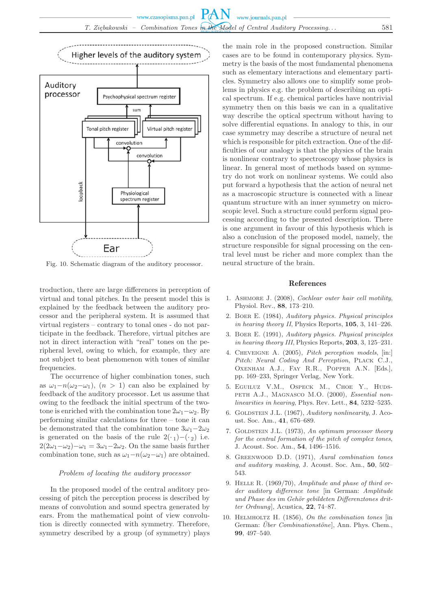

Fig. 10. Schematic diagram of the auditory processor.

troduction, there are large differences in perception of virtual and tonal pitches. In the present model this is explained by the feedback between the auditory processor and the peripheral system. It is assumed that virtual registers – contrary to tonal ones - do not participate in the feedback. Therefore, virtual pitches are not in direct interaction with "real" tones on the peripheral level, owing to which, for example, they are not subject to beat phenomenon with tones of similar frequencies.

The occurrence of higher combination tones, such as  $\omega_1 - n(\omega_2 - \omega_1)$ ,  $(n > 1)$  can also be explained by feedback of the auditory processor. Let us assume that owing to the feedback the initial spectrum of the twotone is enriched with the combination tone  $2\omega_1-\omega_2$ . By performing similar calculations for three – tone it can be demonstrated that the combination tone  $3\omega_1-2\omega_2$ is generated on the basis of the rule  $2(\cdot_1)-(\cdot_2)$  i.e.  $2(2\omega_1-\omega_2)-\omega_1=3\omega_1-2\omega_2$ . On the same basis further combination tone, such as  $\omega_1-n(\omega_2-\omega_1)$  are obtained.

#### *Problem of locating the auditory processor*

In the proposed model of the central auditory processing of pitch the perception process is described by means of convolution and sound spectra generated by ears. From the mathematical point of view convolution is directly connected with symmetry. Therefore, symmetry described by a group (of symmetry) plays

the main role in the proposed construction. Similar cases are to be found in contemporary physics. Symmetry is the basis of the most fundamental phenomena such as elementary interactions and elementary particles. Symmetry also allows one to simplify some problems in physics e.g. the problem of describing an optical spectrum. If e.g. chemical particles have nontrivial symmetry then on this basis we can in a qualitative way describe the optical spectrum without having to solve differential equations. In analogy to this, in our case symmetry may describe a structure of neural net which is responsible for pitch extraction. One of the difficulties of our analogy is that the physics of the brain is nonlinear contrary to spectroscopy whose physics is linear. In general most of methods based on symmetry do not work on nonlinear systems. We could also put forward a hypothesis that the action of neural net as a macroscopic structure is connected with a linear quantum structure with an inner symmetry on microscopic level. Such a structure could perform signal processing according to the presented description. There is one argument in favour of this hypothesis which is also a conclusion of the proposed model, namely, the structure responsible for signal processing on the central level must be richer and more complex than the neural structure of the brain.

#### References

- 1. Ashmore J. (2008), *Cochlear outer hair cell motility*, Physiol. Rev., **88**, 173–210.
- 2. Boer E. (1984), *Auditory physics. Physical principles in hearing theory II*, Physics Reports, **105**, 3, 141–226.
- 3. Boer E. (1991), *Auditory physics. Physical principles in hearing theory III*, Physics Reports, **203**, 3, 125–231.
- 4. Cheveigne A. (2005), *Pitch perception models*, [in:] *Pitch: Neural Coding And Perception*, Plack C.J., Oxenham A.J., Fay R.R., Popper A.N. [Eds.], pp. 169–233, Springer Verlag, New York.
- 5. EGUILUZ V.M., OSPECK M., CHOE Y., HUDSpeth A.J., Magnasco M.O. (2000), *Essential nonlinearities in hearing*, Phys. Rev. Lett., **84**, 5232–5235.
- 6. Goldstein J.L. (1967), *Auditory nonlinearity*, J. Acoust. Soc. Am., **41**, 676–689.
- 7. Goldstein J.L. (1973), *An optimum processor theory for the central formation of the pitch of complex tones*, J. Acoust. Soc. Am., **54**, 1496–1516.
- 8. Greenwood D.D. (1971), *Aural combination tones and auditory masking*, J. Acoust. Soc. Am., **50**, 502– 543.
- 9. Helle R. (1969/70), *Amplitude and phase of third order auditory difference tone* [in German: *Amplitude und Phase des im Geh¨or gebildeten Differenztones dritter Ordnung*], Acustica, **22**, 74–87.
- 10. Helmholtz H. (1856), *On the combination tones* [in German: *Über Combinationstöne*], Ann. Phys. Chem., **99**, 497–540.